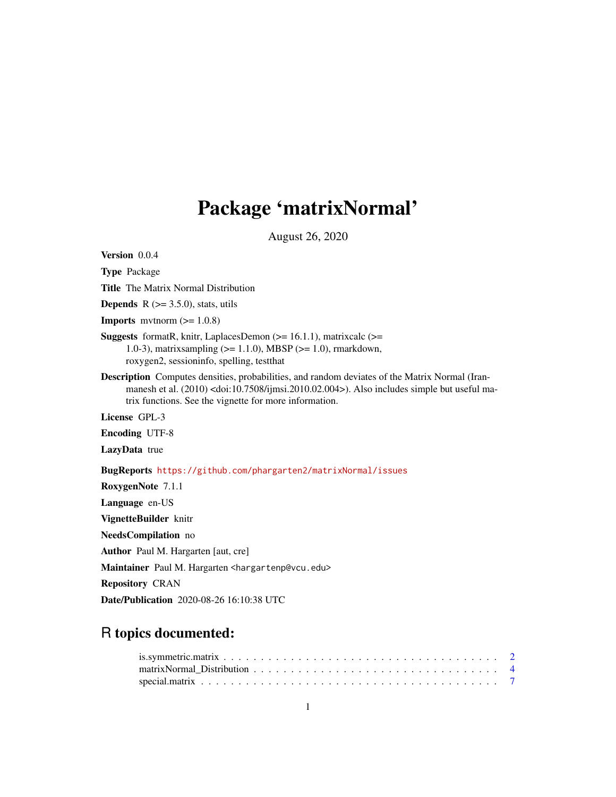## Package 'matrixNormal'

August 26, 2020

<span id="page-0-0"></span>Version 0.0.4 Type Package Title The Matrix Normal Distribution **Depends**  $R$  ( $>= 3.5.0$ ), stats, utils **Imports** mythorm  $(>= 1.0.8)$ **Suggests** formatR, knitr, LaplacesDemon  $(>= 16.1.1)$ , matrixcalc  $(>=$ 1.0-3), matrixsampling (>= 1.1.0), MBSP (>= 1.0), rmarkdown, roxygen2, sessioninfo, spelling, testthat Description Computes densities, probabilities, and random deviates of the Matrix Normal (Iranmanesh et al. (2010) <doi:10.7508/ijmsi.2010.02.004>). Also includes simple but useful matrix functions. See the vignette for more information. License GPL-3 Encoding UTF-8 LazyData true BugReports <https://github.com/phargarten2/matrixNormal/issues> RoxygenNote 7.1.1 Language en-US VignetteBuilder knitr NeedsCompilation no Author Paul M. Hargarten [aut, cre] Maintainer Paul M. Hargarten <hargartenp@vcu.edu> Repository CRAN

#### Date/Publication 2020-08-26 16:10:38 UTC

### R topics documented: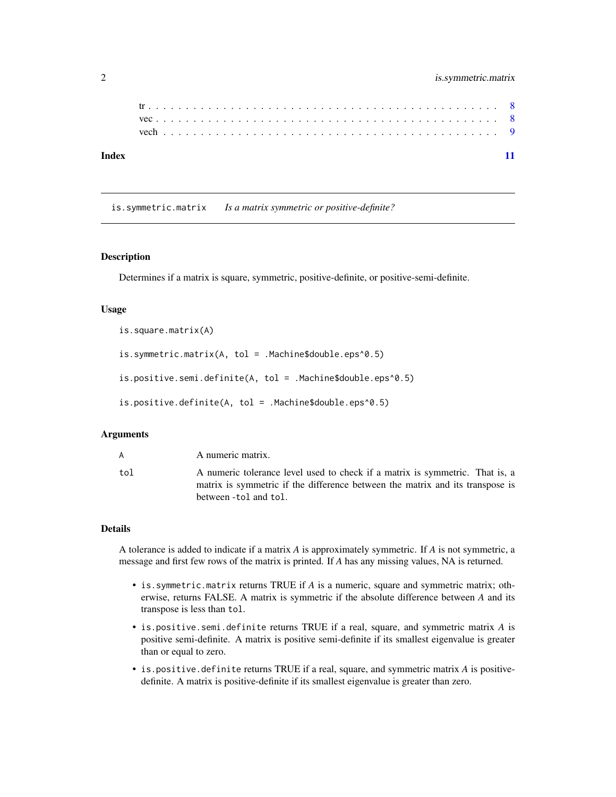<span id="page-1-0"></span>

| Index |  |  |  |  |  |  |  |  |  |  |  |  |  |  |  |  |  |  |  |  |  |  |
|-------|--|--|--|--|--|--|--|--|--|--|--|--|--|--|--|--|--|--|--|--|--|--|

is.symmetric.matrix *Is a matrix symmetric or positive-definite?*

#### Description

Determines if a matrix is square, symmetric, positive-definite, or positive-semi-definite.

#### Usage

```
is.square.matrix(A)
is.symmetric.matrix(A, tol = .Machine$double.eps^0.5)
is.positive.semi.definite(A, tol = .Machine$double.eps^0.5)
is.positive.definite(A, tol = .Machine$double.eps^0.5)
```
#### Arguments

| A   | A numeric matrix.                                                                                                                                             |
|-----|---------------------------------------------------------------------------------------------------------------------------------------------------------------|
| tol | A numeric tolerance level used to check if a matrix is symmetric. That is, a<br>matrix is symmetric if the difference between the matrix and its transpose is |
|     | between -tol and tol.                                                                                                                                         |

#### Details

A tolerance is added to indicate if a matrix *A* is approximately symmetric. If *A* is not symmetric, a message and first few rows of the matrix is printed. If *A* has any missing values, NA is returned.

- is.symmetric.matrix returns TRUE if *A* is a numeric, square and symmetric matrix; otherwise, returns FALSE. A matrix is symmetric if the absolute difference between *A* and its transpose is less than tol.
- is.positive.semi.definite returns TRUE if a real, square, and symmetric matrix *A* is positive semi-definite. A matrix is positive semi-definite if its smallest eigenvalue is greater than or equal to zero.
- is.positive.definite returns TRUE if a real, square, and symmetric matrix *A* is positivedefinite. A matrix is positive-definite if its smallest eigenvalue is greater than zero.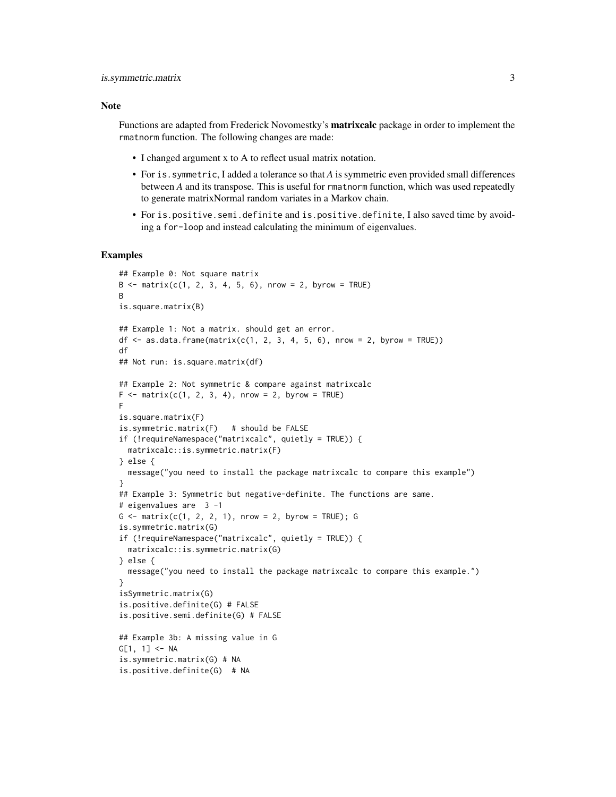#### Note

Functions are adapted from Frederick Novomestky's **matrixcalc** package in order to implement the rmatnorm function. The following changes are made:

- I changed argument x to A to reflect usual matrix notation.
- For is.symmetric, I added a tolerance so that *A* is symmetric even provided small differences between *A* and its transpose. This is useful for rmatnorm function, which was used repeatedly to generate matrixNormal random variates in a Markov chain.
- For is.positive.semi.definite and is.positive.definite, I also saved time by avoiding a for-loop and instead calculating the minimum of eigenvalues.

#### Examples

```
## Example 0: Not square matrix
B \le - matrix(c(1, 2, 3, 4, 5, 6), nrow = 2, byrow = TRUE)
B
is.square.matrix(B)
## Example 1: Not a matrix. should get an error.
df \le - as.data.frame(matrix(c(1, 2, 3, 4, 5, 6), nrow = 2, byrow = TRUE))
df
## Not run: is.square.matrix(df)
## Example 2: Not symmetric & compare against matrixcalc
F <- matrix(c(1, 2, 3, 4), nrow = 2, byrow = TRUE)
F
is.square.matrix(F)
is.symmetric.matrix(F) # should be FALSE
if (!requireNamespace("matrixcalc", quietly = TRUE)) {
  matrixcalc::is.symmetric.matrix(F)
} else {
  message("you need to install the package matrixcalc to compare this example")
}
## Example 3: Symmetric but negative-definite. The functions are same.
# eigenvalues are 3 -1
G \leq - matrix(c(1, 2, 2, 1), nrow = 2, byrow = TRUE); G
is.symmetric.matrix(G)
if (!requireNamespace("matrixcalc", quietly = TRUE)) {
  matrixcalc::is.symmetric.matrix(G)
} else {
  message("you need to install the package matrixcalc to compare this example.")
}
isSymmetric.matrix(G)
is.positive.definite(G) # FALSE
is.positive.semi.definite(G) # FALSE
## Example 3b: A missing value in G
G[1, 1] <- NA
is.symmetric.matrix(G) # NA
is.positive.definite(G) # NA
```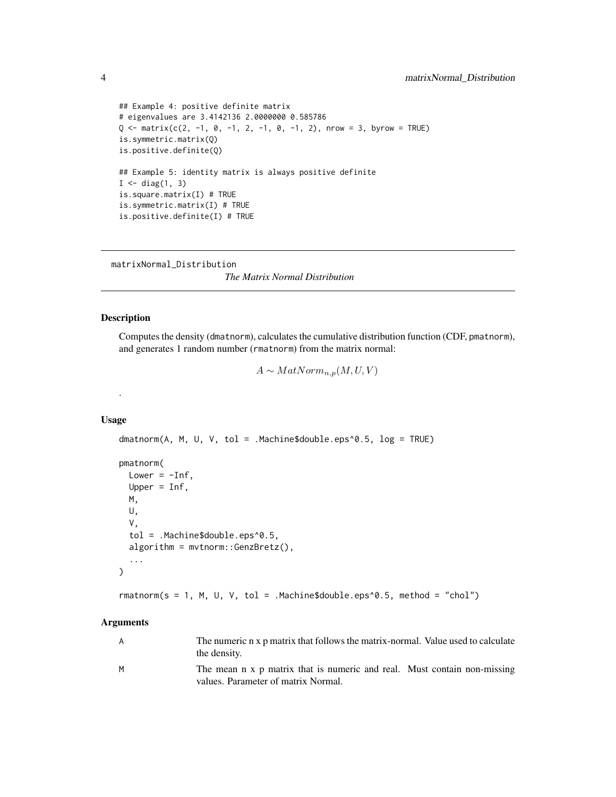```
## Example 4: positive definite matrix
# eigenvalues are 3.4142136 2.0000000 0.585786
Q \leq - matrix(c(2, -1, 0, -1, 2, -1, 0, -1, 2), nrow = 3, byrow = TRUE)
is.symmetric.matrix(Q)
is.positive.definite(Q)
## Example 5: identity matrix is always positive definite
I \leftarrow diag(1, 3)is.square.matrix(I) # TRUE
is.symmetric.matrix(I) # TRUE
is.positive.definite(I) # TRUE
```
matrixNormal\_Distribution

*The Matrix Normal Distribution*

#### Description

Computes the density (dmatnorm), calculates the cumulative distribution function (CDF, pmatnorm), and generates 1 random number (rmatnorm) from the matrix normal:

 $A \sim MatNorm_{n,p}(M, U, V)$ 

#### Usage

.

```
dmatnorm(A, M, U, V, tol = .Machine$double.eps^0.5, log = TRUE)
```

```
pmatnorm(
 Lower = -Inf,
 Upper = Inf,
 M,
 U,
  V,
  tol = .Machine$double.eps^0.5,
  algorithm = mvtnorm::GenzBretz(),
  ...
\mathcal{L}
```
rmatnorm(s = 1, M, U, V, tol = .Machine\$double.eps^0.5, method = "chol")

#### Arguments

| A | The numeric n x p matrix that follows the matrix-normal. Value used to calculate<br>the density.                |
|---|-----------------------------------------------------------------------------------------------------------------|
| M | The mean n x p matrix that is numeric and real. Must contain non-missing<br>values. Parameter of matrix Normal. |

<span id="page-3-0"></span>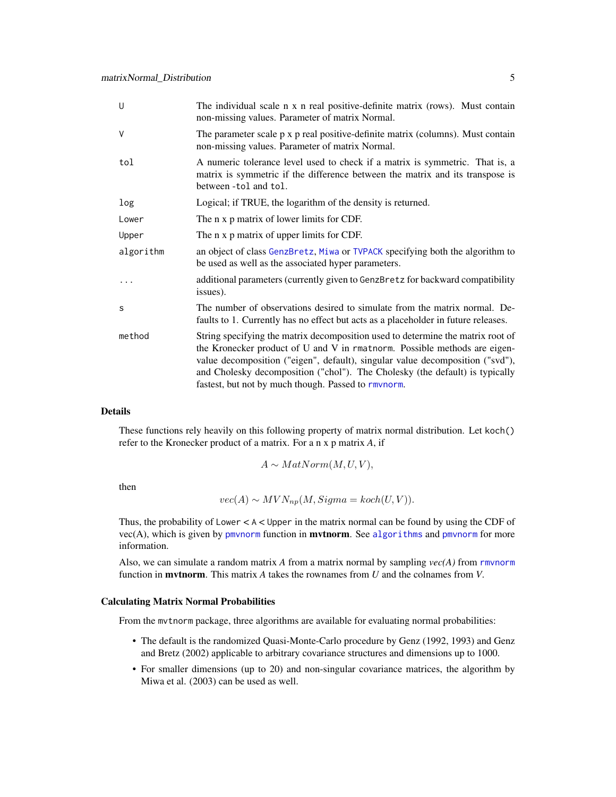<span id="page-4-0"></span>

| U         | The individual scale n x n real positive-definite matrix (rows). Must contain<br>non-missing values. Parameter of matrix Normal.                                                                                                                                                                                                                                                     |
|-----------|--------------------------------------------------------------------------------------------------------------------------------------------------------------------------------------------------------------------------------------------------------------------------------------------------------------------------------------------------------------------------------------|
| $\vee$    | The parameter scale p x p real positive-definite matrix (columns). Must contain<br>non-missing values. Parameter of matrix Normal.                                                                                                                                                                                                                                                   |
| tol       | A numeric tolerance level used to check if a matrix is symmetric. That is, a<br>matrix is symmetric if the difference between the matrix and its transpose is<br>between -tol and tol.                                                                                                                                                                                               |
| log       | Logical; if TRUE, the logarithm of the density is returned.                                                                                                                                                                                                                                                                                                                          |
| Lower     | The n x p matrix of lower limits for CDF.                                                                                                                                                                                                                                                                                                                                            |
| Upper     | The n x p matrix of upper limits for CDF.                                                                                                                                                                                                                                                                                                                                            |
| algorithm | an object of class GenzBretz, Miwa or TVPACK specifying both the algorithm to<br>be used as well as the associated hyper parameters.                                                                                                                                                                                                                                                 |
|           | additional parameters (currently given to GenzBretz for backward compatibility<br>issues).                                                                                                                                                                                                                                                                                           |
| S         | The number of observations desired to simulate from the matrix normal. De-<br>faults to 1. Currently has no effect but acts as a placeholder in future releases.                                                                                                                                                                                                                     |
| method    | String specifying the matrix decomposition used to determine the matrix root of<br>the Kronecker product of U and V in rmatnorm. Possible methods are eigen-<br>value decomposition ("eigen", default), singular value decomposition ("svd"),<br>and Cholesky decomposition ("chol"). The Cholesky (the default) is typically<br>fastest, but not by much though. Passed to rmvnorm. |

#### Details

These functions rely heavily on this following property of matrix normal distribution. Let koch() refer to the Kronecker product of a matrix. For a n x p matrix *A*, if

$$
A \sim MatNorm(M,U,V),
$$

then

$$
vec(A) \sim MVN_{np}(M, Sigma = koch(U, V)).
$$

Thus, the probability of Lower  $\lt$  A  $\lt$  Upper in the matrix normal can be found by using the CDF of  $vec(A)$ , which is given by [pmvnorm](#page-0-0) function in **mvtnorm**. See [algorithms](#page-0-0) and pmvnorm for more information.

Also, we can simulate a random matrix *A* from a matrix normal by sampling *vec(A)* from [rmvnorm](#page-0-0) function in mvtnorm. This matrix *A* takes the rownames from *U* and the colnames from *V*.

#### Calculating Matrix Normal Probabilities

From the mvtnorm package, three algorithms are available for evaluating normal probabilities:

- The default is the randomized Quasi-Monte-Carlo procedure by Genz (1992, 1993) and Genz and Bretz (2002) applicable to arbitrary covariance structures and dimensions up to 1000.
- For smaller dimensions (up to 20) and non-singular covariance matrices, the algorithm by Miwa et al. (2003) can be used as well.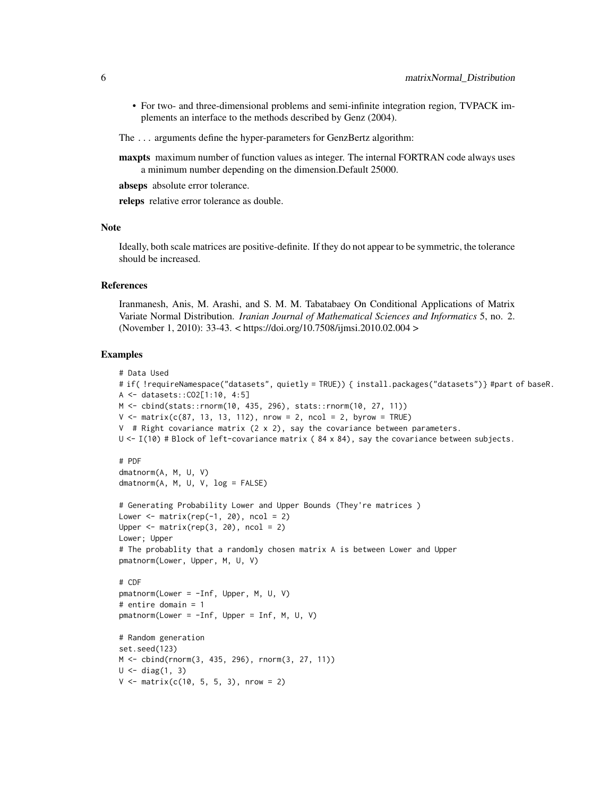- For two- and three-dimensional problems and semi-infinite integration region, TVPACK implements an interface to the methods described by Genz (2004).
- The ... arguments define the hyper-parameters for GenzBertz algorithm:
- maxpts maximum number of function values as integer. The internal FORTRAN code always uses a minimum number depending on the dimension.Default 25000.
- abseps absolute error tolerance.

releps relative error tolerance as double.

#### Note

Ideally, both scale matrices are positive-definite. If they do not appear to be symmetric, the tolerance should be increased.

#### **References**

Iranmanesh, Anis, M. Arashi, and S. M. M. Tabatabaey On Conditional Applications of Matrix Variate Normal Distribution. *Iranian Journal of Mathematical Sciences and Informatics* 5, no. 2. (November 1, 2010): 33-43. < https://doi.org/10.7508/ijmsi.2010.02.004 >

#### Examples

```
# Data Used
# if( !requireNamespace("datasets", quietly = TRUE)) { install.packages("datasets")} #part of baseR.
A <- datasets::CO2[1:10, 4:5]
M <- cbind(stats::rnorm(10, 435, 296), stats::rnorm(10, 27, 11))
V \le matrix(c(87, 13, 13, 112), nrow = 2, ncol = 2, byrow = TRUE)
V # Right covariance matrix (2 x 2), say the covariance between parameters.
U \leftarrow I(10) # Block of left-covariance matrix (84 x 84), say the covariance between subjects.
# PDF
dmatnorm(A, M, U, V)
dmatnorm(A, M, U, V, log = FALSE)
# Generating Probability Lower and Upper Bounds (They're matrices )
Lower \leq matrix(rep(-1, 20), ncol = 2)
Upper \leq matrix(rep(3, 20), ncol = 2)
Lower; Upper
# The probablity that a randomly chosen matrix A is between Lower and Upper
pmatnorm(Lower, Upper, M, U, V)
# CDF
pmatnorm(Lower = -Inf, Upper, M, U, V)
# entire domain = 1
pmatnorm(Lower = -Inf, Upper = Inf, M, U, V)
# Random generation
set.seed(123)
M <- cbind(rnorm(3, 435, 296), rnorm(3, 27, 11))
U \leftarrow diag(1, 3)V \le - matrix(c(10, 5, 5, 3), nrow = 2)
```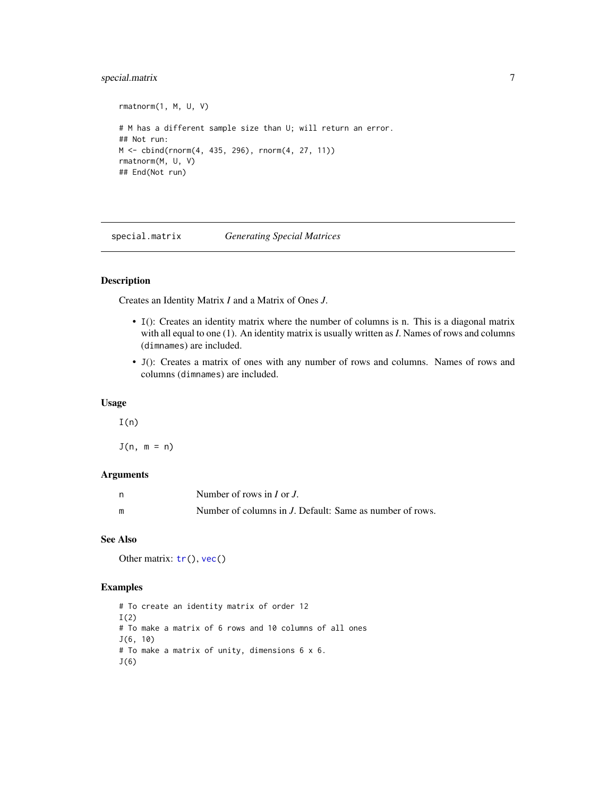#### <span id="page-6-0"></span>special.matrix 7

```
rmatnorm(1, M, U, V)
# M has a different sample size than U; will return an error.
## Not run:
M <- cbind(rnorm(4, 435, 296), rnorm(4, 27, 11))
rmatnorm(M, U, V)
## End(Not run)
```
<span id="page-6-1"></span>special.matrix *Generating Special Matrices*

#### Description

Creates an Identity Matrix *I* and a Matrix of Ones *J*.

- I(): Creates an identity matrix where the number of columns is n. This is a diagonal matrix with all equal to one (1). An identity matrix is usually written as *I*. Names of rows and columns (dimnames) are included.
- J(): Creates a matrix of ones with any number of rows and columns. Names of rows and columns (dimnames) are included.

#### Usage

 $I(n)$ 

 $J(n, m = n)$ 

#### **Arguments**

|   | Number of rows in $I$ or $J$ .                           |
|---|----------------------------------------------------------|
| m | Number of columns in J. Default: Same as number of rows. |

#### See Also

Other matrix:  $tr()$  $tr()$ , [vec\(](#page-7-2))

#### Examples

```
# To create an identity matrix of order 12
I(2)
# To make a matrix of 6 rows and 10 columns of all ones
J(6, 10)
# To make a matrix of unity, dimensions 6 x 6.
J(6)
```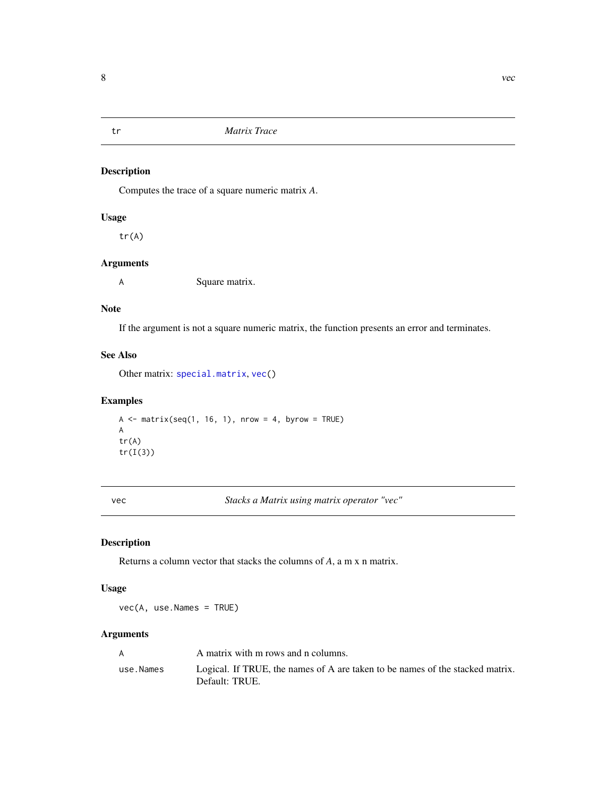<span id="page-7-1"></span><span id="page-7-0"></span>

#### Description

Computes the trace of a square numeric matrix *A*.

#### Usage

tr(A)

#### Arguments

A Square matrix.

#### Note

If the argument is not a square numeric matrix, the function presents an error and terminates.

#### See Also

Other matrix: [special.matrix](#page-6-1), [vec\(](#page-7-2))

#### Examples

 $A \leq$  matrix(seq(1, 16, 1), nrow = 4, byrow = TRUE) A tr(A) tr(I(3))

<span id="page-7-2"></span>vec *Stacks a Matrix using matrix operator "vec"*

#### Description

Returns a column vector that stacks the columns of *A*, a m x n matrix.

#### Usage

vec(A, use.Names = TRUE)

#### Arguments

|           | A matrix with m rows and n columns.                                                             |
|-----------|-------------------------------------------------------------------------------------------------|
| use.Names | Logical. If TRUE, the names of A are taken to be names of the stacked matrix.<br>Default: TRUE. |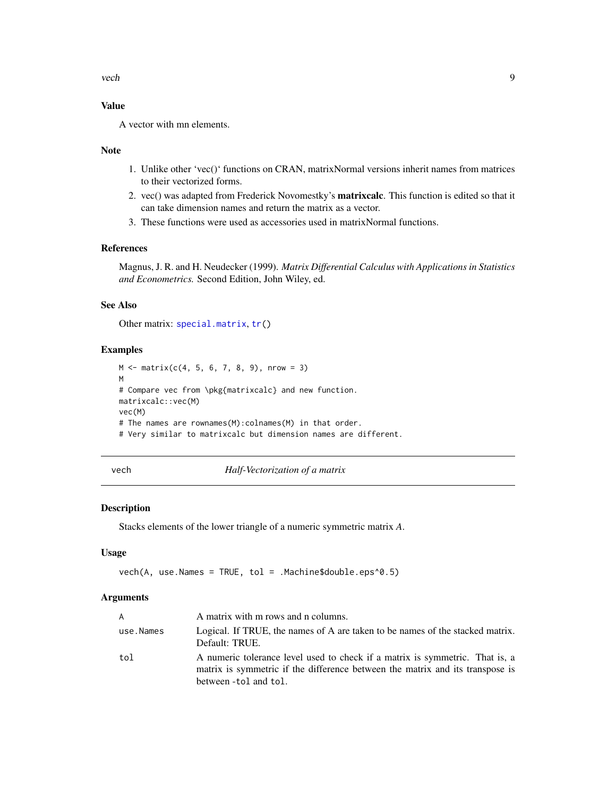<span id="page-8-0"></span>vech 9

#### Value

A vector with mn elements.

#### Note

- 1. Unlike other 'vec()' functions on CRAN, matrixNormal versions inherit names from matrices to their vectorized forms.
- 2. vec() was adapted from Frederick Novomestky's matrixcalc. This function is edited so that it can take dimension names and return the matrix as a vector.
- 3. These functions were used as accessories used in matrixNormal functions.

#### References

Magnus, J. R. and H. Neudecker (1999). *Matrix Differential Calculus with Applications in Statistics and Econometrics.* Second Edition, John Wiley, ed.

#### See Also

Other matrix: [special.matrix](#page-6-1), [tr\(](#page-7-1))

#### Examples

```
M \le - matrix(c(4, 5, 6, 7, 8, 9), nrow = 3)
M
# Compare vec from \pkg{matrixcalc} and new function.
matrixcalc::vec(M)
vec(M)
# The names are rownames(M):colnames(M) in that order.
# Very similar to matrixcalc but dimension names are different.
```
vech *Half-Vectorization of a matrix*

#### Description

Stacks elements of the lower triangle of a numeric symmetric matrix *A*.

#### Usage

```
vech(A, use.Names = TRUE, tol = .Machine$double.eps^0.5)
```
#### Arguments

| A         | A matrix with m rows and n columns.                                                                                                                                                    |
|-----------|----------------------------------------------------------------------------------------------------------------------------------------------------------------------------------------|
| use.Names | Logical. If TRUE, the names of A are taken to be names of the stacked matrix.<br>Default: TRUE.                                                                                        |
| tol       | A numeric tolerance level used to check if a matrix is symmetric. That is, a<br>matrix is symmetric if the difference between the matrix and its transpose is<br>between -tol and tol. |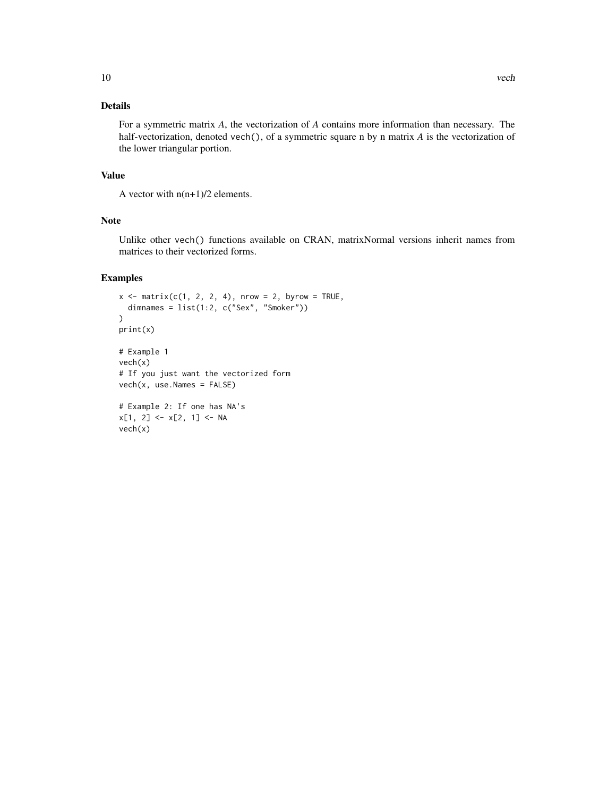#### Details

For a symmetric matrix *A*, the vectorization of *A* contains more information than necessary. The half-vectorization, denoted vech(), of a symmetric square n by n matrix *A* is the vectorization of the lower triangular portion.

#### Value

A vector with  $n(n+1)/2$  elements.

#### Note

Unlike other vech() functions available on CRAN, matrixNormal versions inherit names from matrices to their vectorized forms.

#### Examples

vech(x)

```
x \le matrix(c(1, 2, 2, 4), nrow = 2, byrow = TRUE,
  dimnames = list(1:2, c("Sex", "Smoker")))
print(x)
# Example 1
vech(x)
# If you just want the vectorized form
vech(x, use.Names = FALSE)
# Example 2: If one has NA's
x[1, 2] <- x[2, 1] <- NA
```